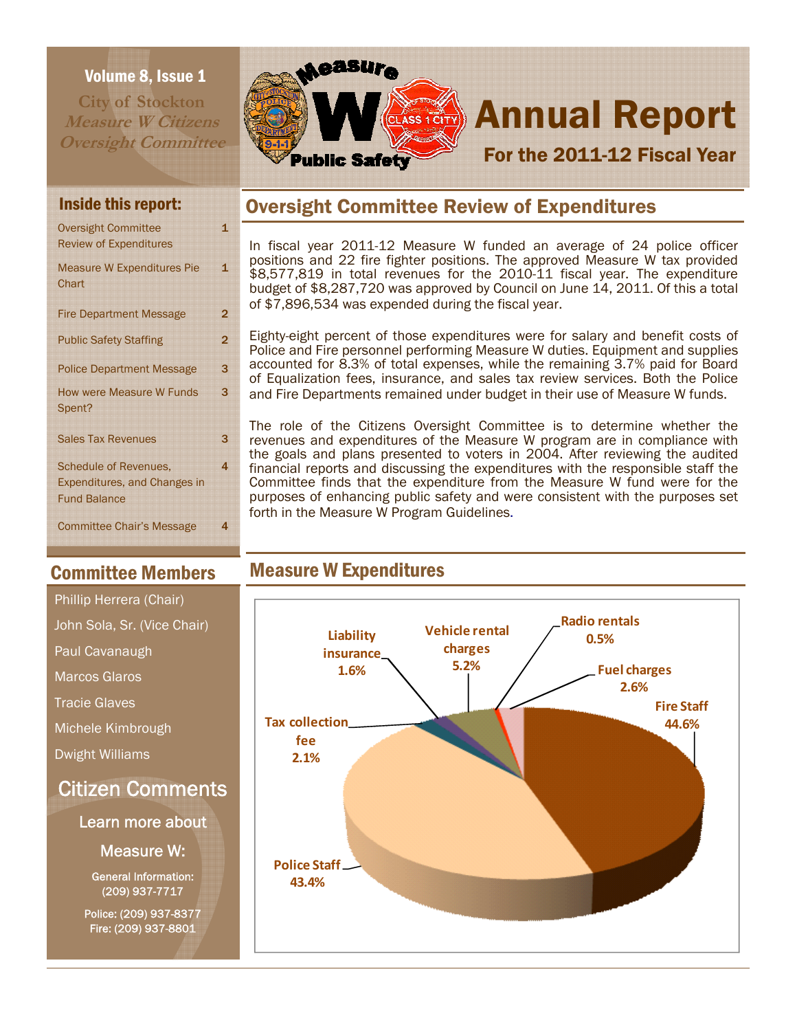### Volume 8, Issue 1

**City of Stockton Measure W Citizens Oversight Committee** 



# **CLASS 1CHY** Annual Report For the 2011-12 Fiscal Year

| <b>Oversight Committee</b>          | 1              |
|-------------------------------------|----------------|
| <b>Review of Expenditures</b>       |                |
| <b>Measure W Expenditures Pie</b>   | 1              |
| Chart                               |                |
| <b>Fire Department Message</b>      | 2              |
| <b>Public Safety Staffing</b>       | $\overline{2}$ |
|                                     |                |
| <b>Police Department Message</b>    | 3              |
| <b>How were Measure W Funds</b>     | 3              |
| Spent?                              |                |
| <b>Sales Tax Revenues</b>           | 3              |
| <b>Schedule of Revenues.</b>        | 4              |
| <b>Expenditures, and Changes in</b> |                |
| <b>Fund Balance</b>                 |                |
| <b>Committee Chair's Message</b>    | 4              |
|                                     |                |

## Committee Members

# Citizen Comments Learn more about Phillip Herrera (Chair) John Sola, Sr. (Vice Chair) Paul Cavanaugh Marcos Glaros Tracie Glaves Michele Kimbrough Dwight Williams

Measure W:

General Information: (209) 937-7717

Police: (209) 937-8377 Fire: (209) 937-8801

## Inside this report: **Oversight Committee Review of Expenditures**

In fiscal year 2011-12 Measure W funded an average of 24 police officer positions and 22 fire fighter positions. The approved Measure W tax provided \$8,577,819 in total revenues for the 2010-11 fiscal year. The expenditure budget of \$8,287,720 was approved by Council on June 14, 2011. Of this a total of \$7,896,534 was expended during the fiscal year.

Eighty-eight percent of those expenditures were for salary and benefit costs of Police and Fire personnel performing Measure W duties. Equipment and supplies accounted for 8.3% of total expenses, while the remaining 3.7% paid for Board of Equalization fees, insurance, and sales tax review services. Both the Police and Fire Departments remained under budget in their use of Measure W funds.

The role of the Citizens Oversight Committee is to determine whether the revenues and expenditures of the Measure W program are in compliance with the goals and plans presented to voters in 2004. After reviewing the audited financial reports and discussing the expenditures with the responsible staff the Committee finds that the expenditure from the Measure W fund were for the purposes of enhancing public safety and were consistent with the purposes set forth in the Measure W Program Guidelines.

## Measure W Expenditures

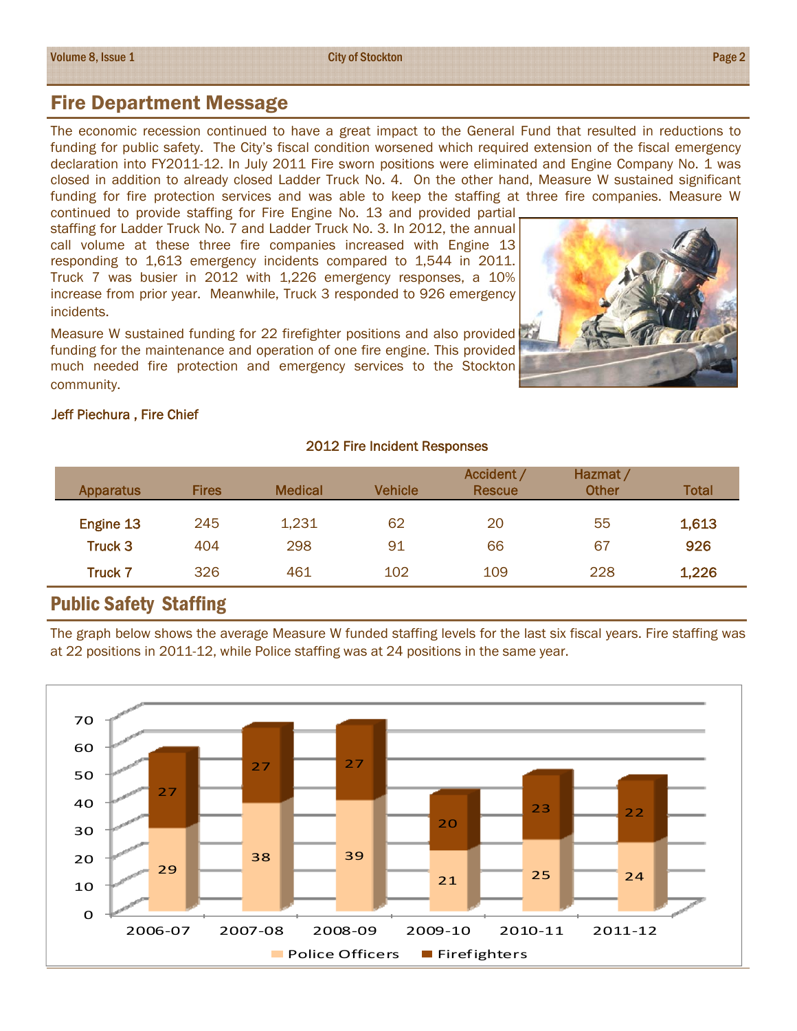### Fire Department Message

The economic recession continued to have a great impact to the General Fund that resulted in reductions to funding for public safety. The City's fiscal condition worsened which required extension of the fiscal emergency declaration into FY2011-12. In July 2011 Fire sworn positions were eliminated and Engine Company No. 1 was closed in addition to already closed Ladder Truck No. 4. On the other hand, Measure W sustained significant funding for fire protection services and was able to keep the staffing at three fire companies. Measure W continued to provide staffing for Fire Engine No. 13 and provided partial

staffing for Ladder Truck No. 7 and Ladder Truck No. 3. In 2012, the annual call volume at these three fire companies increased with Engine 13 responding to 1,613 emergency incidents compared to 1,544 in 2011. Truck 7 was busier in 2012 with 1,226 emergency responses, a 10% increase from prior year. Meanwhile, Truck 3 responded to 926 emergency incidents.

Measure W sustained funding for 22 firefighter positions and also provided funding for the maintenance and operation of one fire engine. This provided much needed fire protection and emergency services to the Stockton community.



### Jeff Piechura , Fire Chief

#### 2012 Fire Incident Responses

|                       |       |     | <b>Rescue</b> | <b>Other</b> | Total |
|-----------------------|-------|-----|---------------|--------------|-------|
| Engine 13<br>245      | 1,231 | 62  | 20            | 55           | 1,613 |
| Truck 3<br>404        | 298   | 91  | 66            | 67           | 926   |
| 326<br><b>Truck 7</b> | 461   | 102 | 109           | 228          | 1,226 |

### Public Safety Staffing

The graph below shows the average Measure W funded staffing levels for the last six fiscal years. Fire staffing was at 22 positions in 2011-12, while Police staffing was at 24 positions in the same year.

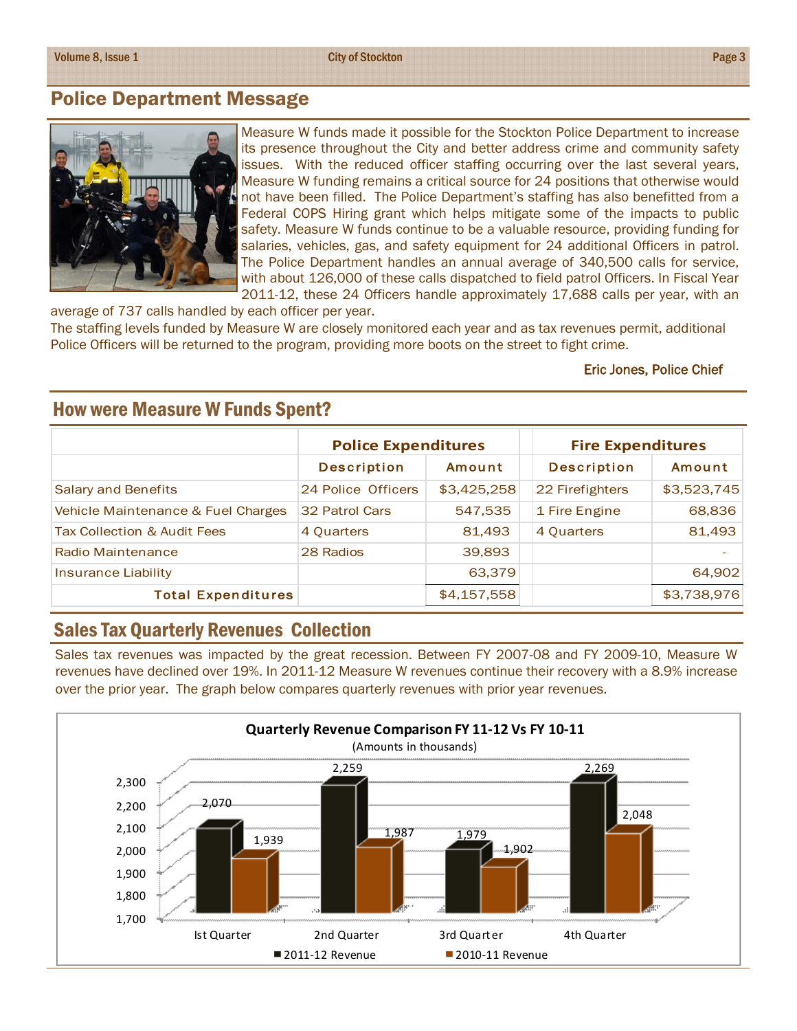City of Stockton **Page 3** 

### Police Department Message



Measure W funds made it possible for the Stockton Police Department to increase its presence throughout the City and better address crime and community safety issues. With the reduced officer staffing occurring over the last several years, Measure W funding remains a critical source for 24 positions that otherwise would not have been filled. The Police Department's staffing has also benefitted from a Federal COPS Hiring grant which helps mitigate some of the impacts to public safety. Measure W funds continue to be a valuable resource, providing funding for salaries, vehicles, gas, and safety equipment for 24 additional Officers in patrol. The Police Department handles an annual average of 340,500 calls for service, with about 126,000 of these calls dispatched to field patrol Officers. In Fiscal Year 2011-12, these 24 Officers handle approximately 17,688 calls per year, with an

average of 737 calls handled by each officer per year. The staffing levels funded by Measure W are closely monitored each year and as tax revenues permit, additional Police Officers will be returned to the program, providing more boots on the street to fight crime.

#### Eric Jones, Police Chief

|                                    | <b>Police Expenditures</b> |             | <b>Fire Expenditures</b> |             |
|------------------------------------|----------------------------|-------------|--------------------------|-------------|
|                                    | <b>Description</b>         | Amount      | <b>Description</b>       | Amount      |
| <b>Salary and Benefits</b>         | 24 Police Officers         | \$3,425,258 | 22 Firefighters          | \$3,523,745 |
| Vehicle Maintenance & Fuel Charges | 32 Patrol Cars             | 547,535     | 1 Fire Engine            | 68,836      |
| Tax Collection & Audit Fees        | 4 Quarters                 | 81,493      | 4 Quarters               | 81,493      |
| Radio Maintenance                  | 28 Radios                  | 39,893      |                          |             |
| <b>Insurance Liability</b>         |                            | 63,379      |                          | 64,902      |
| <b>Total Expenditures</b>          |                            | \$4,157,558 |                          | \$3,738,976 |

### How were Measure W Funds Spent?

### Sales Tax Quarterly Revenues Collection

Sales tax revenues was impacted by the great recession. Between FY 2007-08 and FY 2009-10, Measure W revenues have declined over 19%. In 2011-12 Measure W revenues continue their recovery with a 8.9% increase over the prior year. The graph below compares quarterly revenues with prior year revenues.